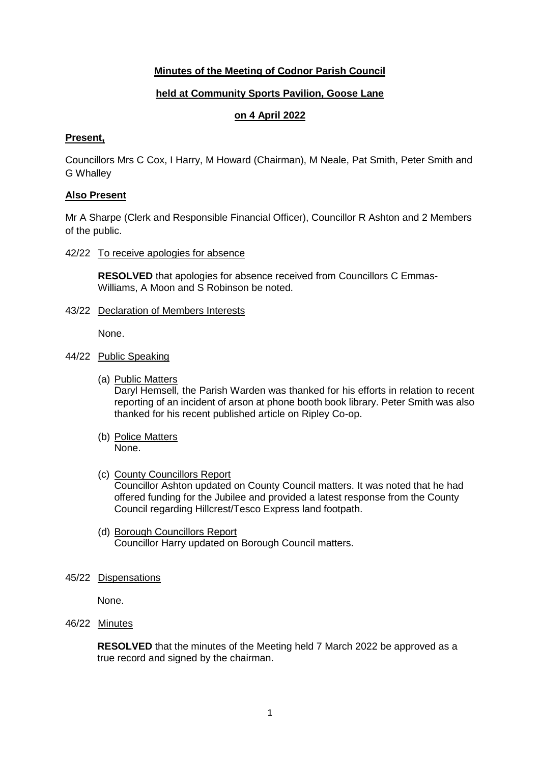### **Minutes of the Meeting of Codnor Parish Council**

### **held at Community Sports Pavilion, Goose Lane**

# **on 4 April 2022**

#### **Present,**

Councillors Mrs C Cox, I Harry, M Howard (Chairman), M Neale, Pat Smith, Peter Smith and G Whalley

#### **Also Present**

Mr A Sharpe (Clerk and Responsible Financial Officer), Councillor R Ashton and 2 Members of the public.

42/22 To receive apologies for absence

**RESOLVED** that apologies for absence received from Councillors C Emmas-Williams, A Moon and S Robinson be noted.

43/22 Declaration of Members Interests

None.

- 44/22 Public Speaking
	- (a) Public Matters Daryl Hemsell, the Parish Warden was thanked for his efforts in relation to recent reporting of an incident of arson at phone booth book library. Peter Smith was also thanked for his recent published article on Ripley Co-op.
	- (b) Police Matters None.
	- (c) County Councillors Report Councillor Ashton updated on County Council matters. It was noted that he had offered funding for the Jubilee and provided a latest response from the County Council regarding Hillcrest/Tesco Express land footpath.
	- (d) Borough Councillors Report Councillor Harry updated on Borough Council matters.
- 45/22 Dispensations

None.

46/22 Minutes

**RESOLVED** that the minutes of the Meeting held 7 March 2022 be approved as a true record and signed by the chairman.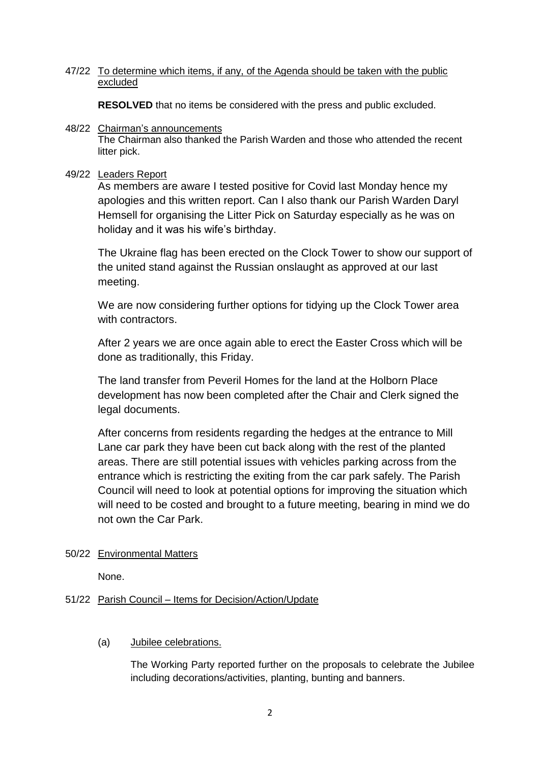#### 47/22 To determine which items, if any, of the Agenda should be taken with the public excluded

**RESOLVED** that no items be considered with the press and public excluded.

#### 48/22 Chairman's announcements

The Chairman also thanked the Parish Warden and those who attended the recent litter pick.

### 49/22 Leaders Report

As members are aware I tested positive for Covid last Monday hence my apologies and this written report. Can I also thank our Parish Warden Daryl Hemsell for organising the Litter Pick on Saturday especially as he was on holiday and it was his wife's birthday.

The Ukraine flag has been erected on the Clock Tower to show our support of the united stand against the Russian onslaught as approved at our last meeting.

We are now considering further options for tidying up the Clock Tower area with contractors.

After 2 years we are once again able to erect the Easter Cross which will be done as traditionally, this Friday.

The land transfer from Peveril Homes for the land at the Holborn Place development has now been completed after the Chair and Clerk signed the legal documents.

After concerns from residents regarding the hedges at the entrance to Mill Lane car park they have been cut back along with the rest of the planted areas. There are still potential issues with vehicles parking across from the entrance which is restricting the exiting from the car park safely. The Parish Council will need to look at potential options for improving the situation which will need to be costed and brought to a future meeting, bearing in mind we do not own the Car Park.

# 50/22 Environmental Matters

None.

# 51/22 Parish Council – Items for Decision/Action/Update

#### (a) Jubilee celebrations.

The Working Party reported further on the proposals to celebrate the Jubilee including decorations/activities, planting, bunting and banners.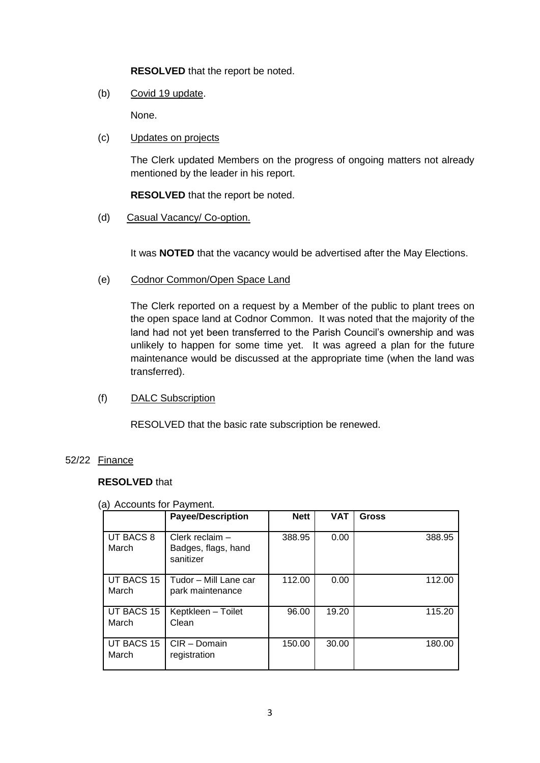**RESOLVED** that the report be noted.

(b) Covid 19 update.

None.

(c) Updates on projects

The Clerk updated Members on the progress of ongoing matters not already mentioned by the leader in his report.

**RESOLVED** that the report be noted.

(d) Casual Vacancy/ Co-option.

It was **NOTED** that the vacancy would be advertised after the May Elections.

(e) Codnor Common/Open Space Land

The Clerk reported on a request by a Member of the public to plant trees on the open space land at Codnor Common. It was noted that the majority of the land had not yet been transferred to the Parish Council's ownership and was unlikely to happen for some time yet. It was agreed a plan for the future maintenance would be discussed at the appropriate time (when the land was transferred).

(f) DALC Subscription

RESOLVED that the basic rate subscription be renewed.

#### 52/22 Finance

#### **RESOLVED** that

#### (a) Accounts for Payment.

|                     | <b>Payee/Description</b>                              | <b>Nett</b> | <b>VAT</b> | <b>Gross</b> |
|---------------------|-------------------------------------------------------|-------------|------------|--------------|
| UT BACS 8<br>March  | Clerk reclaim $-$<br>Badges, flags, hand<br>sanitizer | 388.95      | 0.00       | 388.95       |
| UT BACS 15<br>March | Tudor – Mill Lane car<br>park maintenance             | 112.00      | 0.00       | 112.00       |
| UT BACS 15<br>March | Keptkleen - Toilet<br>Clean                           | 96.00       | 19.20      | 115.20       |
| UT BACS 15<br>March | CIR - Domain<br>registration                          | 150.00      | 30.00      | 180.00       |